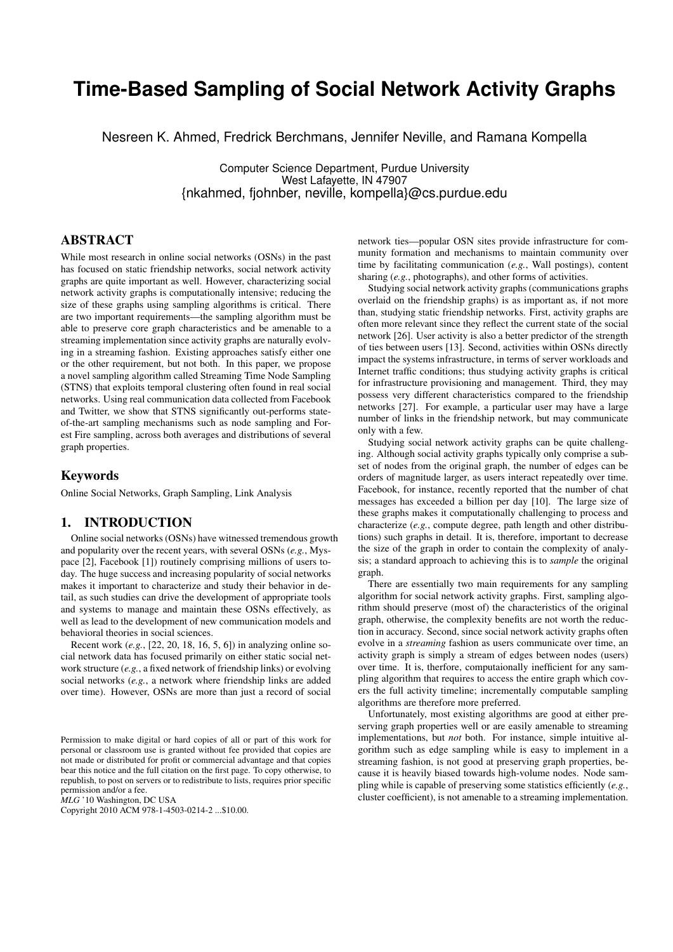# **Time-Based Sampling of Social Network Activity Graphs**

Nesreen K. Ahmed, Fredrick Berchmans, Jennifer Neville, and Ramana Kompella

Computer Science Department, Purdue University West Lafayette, IN 47907 {nkahmed, fjohnber, neville, kompella}@cs.purdue.edu

# ABSTRACT

While most research in online social networks (OSNs) in the past has focused on static friendship networks, social network activity graphs are quite important as well. However, characterizing social network activity graphs is computationally intensive; reducing the size of these graphs using sampling algorithms is critical. There are two important requirements—the sampling algorithm must be able to preserve core graph characteristics and be amenable to a streaming implementation since activity graphs are naturally evolving in a streaming fashion. Existing approaches satisfy either one or the other requirement, but not both. In this paper, we propose a novel sampling algorithm called Streaming Time Node Sampling (STNS) that exploits temporal clustering often found in real social networks. Using real communication data collected from Facebook and Twitter, we show that STNS significantly out-performs stateof-the-art sampling mechanisms such as node sampling and Forest Fire sampling, across both averages and distributions of several graph properties.

## Keywords

Online Social Networks, Graph Sampling, Link Analysis

## 1. INTRODUCTION

Online social networks (OSNs) have witnessed tremendous growth and popularity over the recent years, with several OSNs (*e.g.*, Myspace [2], Facebook [1]) routinely comprising millions of users today. The huge success and increasing popularity of social networks makes it important to characterize and study their behavior in detail, as such studies can drive the development of appropriate tools and systems to manage and maintain these OSNs effectively, as well as lead to the development of new communication models and behavioral theories in social sciences.

Recent work (*e.g.*, [22, 20, 18, 16, 5, 6]) in analyzing online social network data has focused primarily on either static social network structure (*e.g.*, a fixed network of friendship links) or evolving social networks (*e.g.*, a network where friendship links are added over time). However, OSNs are more than just a record of social

*MLG* '10 Washington, DC USA

Copyright 2010 ACM 978-1-4503-0214-2 ...\$10.00.

network ties—popular OSN sites provide infrastructure for community formation and mechanisms to maintain community over time by facilitating communication (*e.g.*, Wall postings), content sharing (*e.g.*, photographs), and other forms of activities.

Studying social network activity graphs (communications graphs overlaid on the friendship graphs) is as important as, if not more than, studying static friendship networks. First, activity graphs are often more relevant since they reflect the current state of the social network [26]. User activity is also a better predictor of the strength of ties between users [13]. Second, activities within OSNs directly impact the systems infrastructure, in terms of server workloads and Internet traffic conditions; thus studying activity graphs is critical for infrastructure provisioning and management. Third, they may possess very different characteristics compared to the friendship networks [27]. For example, a particular user may have a large number of links in the friendship network, but may communicate only with a few.

Studying social network activity graphs can be quite challenging. Although social activity graphs typically only comprise a subset of nodes from the original graph, the number of edges can be orders of magnitude larger, as users interact repeatedly over time. Facebook, for instance, recently reported that the number of chat messages has exceeded a billion per day [10]. The large size of these graphs makes it computationally challenging to process and characterize (*e.g.*, compute degree, path length and other distributions) such graphs in detail. It is, therefore, important to decrease the size of the graph in order to contain the complexity of analysis; a standard approach to achieving this is to *sample* the original graph.

There are essentially two main requirements for any sampling algorithm for social network activity graphs. First, sampling algorithm should preserve (most of) the characteristics of the original graph, otherwise, the complexity benefits are not worth the reduction in accuracy. Second, since social network activity graphs often evolve in a *streaming* fashion as users communicate over time, an activity graph is simply a stream of edges between nodes (users) over time. It is, therfore, computaionally inefficient for any sampling algorithm that requires to access the entire graph which covers the full activity timeline; incrementally computable sampling algorithms are therefore more preferred.

Unfortunately, most existing algorithms are good at either preserving graph properties well or are easily amenable to streaming implementations, but *not* both. For instance, simple intuitive algorithm such as edge sampling while is easy to implement in a streaming fashion, is not good at preserving graph properties, because it is heavily biased towards high-volume nodes. Node sampling while is capable of preserving some statistics efficiently (*e.g.*, cluster coefficient), is not amenable to a streaming implementation.

Permission to make digital or hard copies of all or part of this work for personal or classroom use is granted without fee provided that copies are not made or distributed for profit or commercial advantage and that copies bear this notice and the full citation on the first page. To copy otherwise, to republish, to post on servers or to redistribute to lists, requires prior specific permission and/or a fee.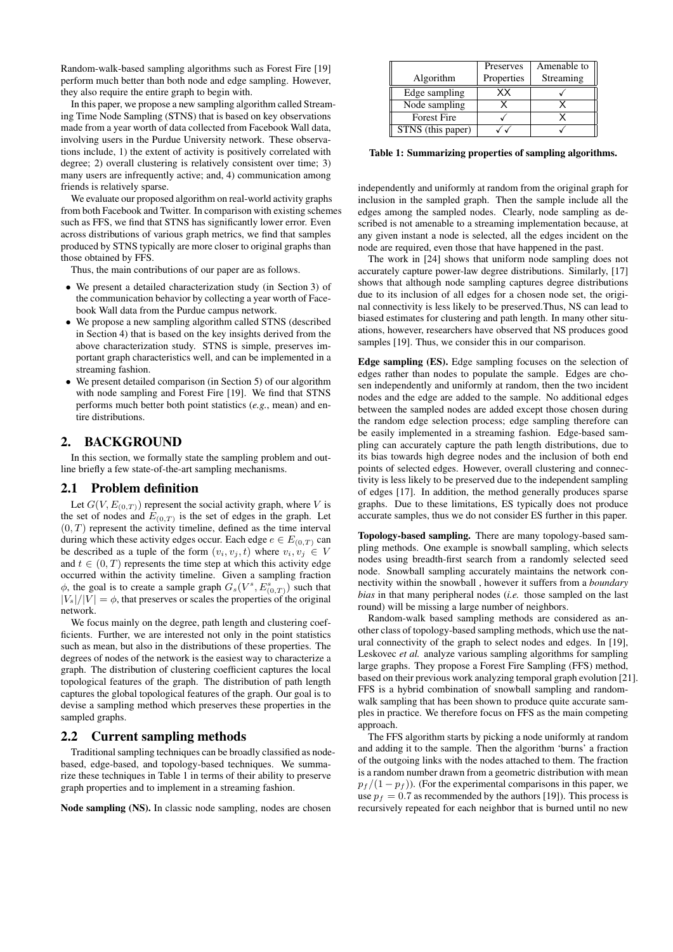Random-walk-based sampling algorithms such as Forest Fire [19] perform much better than both node and edge sampling. However, they also require the entire graph to begin with.

In this paper, we propose a new sampling algorithm called Streaming Time Node Sampling (STNS) that is based on key observations made from a year worth of data collected from Facebook Wall data, involving users in the Purdue University network. These observations include, 1) the extent of activity is positively correlated with degree; 2) overall clustering is relatively consistent over time; 3) many users are infrequently active; and, 4) communication among friends is relatively sparse.

We evaluate our proposed algorithm on real-world activity graphs from both Facebook and Twitter. In comparison with existing schemes such as FFS, we find that STNS has significantly lower error. Even across distributions of various graph metrics, we find that samples produced by STNS typically are more closer to original graphs than those obtained by FFS.

Thus, the main contributions of our paper are as follows.

- We present a detailed characterization study (in Section 3) of the communication behavior by collecting a year worth of Facebook Wall data from the Purdue campus network.
- We propose a new sampling algorithm called STNS (described in Section 4) that is based on the key insights derived from the above characterization study. STNS is simple, preserves important graph characteristics well, and can be implemented in a streaming fashion.
- We present detailed comparison (in Section 5) of our algorithm with node sampling and Forest Fire [19]. We find that STNS performs much better both point statistics (*e.g.*, mean) and entire distributions.

## 2. BACKGROUND

In this section, we formally state the sampling problem and outline briefly a few state-of-the-art sampling mechanisms.

#### 2.1 Problem definition

Let  $G(V, E_{(0,T)})$  represent the social activity graph, where V is the set of nodes and  $E_{(0,T)}$  is the set of edges in the graph. Let  $(0, T)$  represent the activity timeline, defined as the time interval during which these activity edges occur. Each edge  $e \in E_{(0,T)}$  can be described as a tuple of the form  $(v_i, v_j, t)$  where  $v_i, v_j \in V$ and  $t \in (0, T)$  represents the time step at which this activity edge occurred within the activity timeline. Given a sampling fraction  $\phi$ , the goal is to create a sample graph  $G_s(V^s, E^s_{(0,T)})$  such that  $|V_s|/|V| = \phi$ , that preserves or scales the properties of the original network.

We focus mainly on the degree, path length and clustering coefficients. Further, we are interested not only in the point statistics such as mean, but also in the distributions of these properties. The degrees of nodes of the network is the easiest way to characterize a graph. The distribution of clustering coefficient captures the local topological features of the graph. The distribution of path length captures the global topological features of the graph. Our goal is to devise a sampling method which preserves these properties in the sampled graphs.

## 2.2 Current sampling methods

Traditional sampling techniques can be broadly classified as nodebased, edge-based, and topology-based techniques. We summarize these techniques in Table 1 in terms of their ability to preserve graph properties and to implement in a streaming fashion.

Node sampling (NS). In classic node sampling, nodes are chosen

|                    | Preserves  | Amenable to |
|--------------------|------------|-------------|
| Algorithm          | Properties | Streaming   |
| Edge sampling      | xх         |             |
| Node sampling      |            |             |
| <b>Forest Fire</b> |            |             |
| STNS (this paper)  |            |             |

Table 1: Summarizing properties of sampling algorithms.

independently and uniformly at random from the original graph for inclusion in the sampled graph. Then the sample include all the edges among the sampled nodes. Clearly, node sampling as described is not amenable to a streaming implementation because, at any given instant a node is selected, all the edges incident on the node are required, even those that have happened in the past.

The work in [24] shows that uniform node sampling does not accurately capture power-law degree distributions. Similarly, [17] shows that although node sampling captures degree distributions due to its inclusion of all edges for a chosen node set, the original connectivity is less likely to be preserved.Thus, NS can lead to biased estimates for clustering and path length. In many other situations, however, researchers have observed that NS produces good samples [19]. Thus, we consider this in our comparison.

Edge sampling (ES). Edge sampling focuses on the selection of edges rather than nodes to populate the sample. Edges are chosen independently and uniformly at random, then the two incident nodes and the edge are added to the sample. No additional edges between the sampled nodes are added except those chosen during the random edge selection process; edge sampling therefore can be easily implemented in a streaming fashion. Edge-based sampling can accurately capture the path length distributions, due to its bias towards high degree nodes and the inclusion of both end points of selected edges. However, overall clustering and connectivity is less likely to be preserved due to the independent sampling of edges [17]. In addition, the method generally produces sparse graphs. Due to these limitations, ES typically does not produce accurate samples, thus we do not consider ES further in this paper.

Topology-based sampling. There are many topology-based sampling methods. One example is snowball sampling, which selects nodes using breadth-first search from a randomly selected seed node. Snowball sampling accurately maintains the network connectivity within the snowball , however it suffers from a *boundary bias* in that many peripheral nodes (*i.e.* those sampled on the last round) will be missing a large number of neighbors.

Random-walk based sampling methods are considered as another class of topology-based sampling methods, which use the natural connectivity of the graph to select nodes and edges. In [19], Leskovec *et al.* analyze various sampling algorithms for sampling large graphs. They propose a Forest Fire Sampling (FFS) method, based on their previous work analyzing temporal graph evolution [21]. FFS is a hybrid combination of snowball sampling and randomwalk sampling that has been shown to produce quite accurate samples in practice. We therefore focus on FFS as the main competing approach.

The FFS algorithm starts by picking a node uniformly at random and adding it to the sample. Then the algorithm 'burns' a fraction of the outgoing links with the nodes attached to them. The fraction is a random number drawn from a geometric distribution with mean  $p_f/(1-p_f)$ ). (For the experimental comparisons in this paper, we use  $p_f = 0.7$  as recommended by the authors [19]). This process is recursively repeated for each neighbor that is burned until no new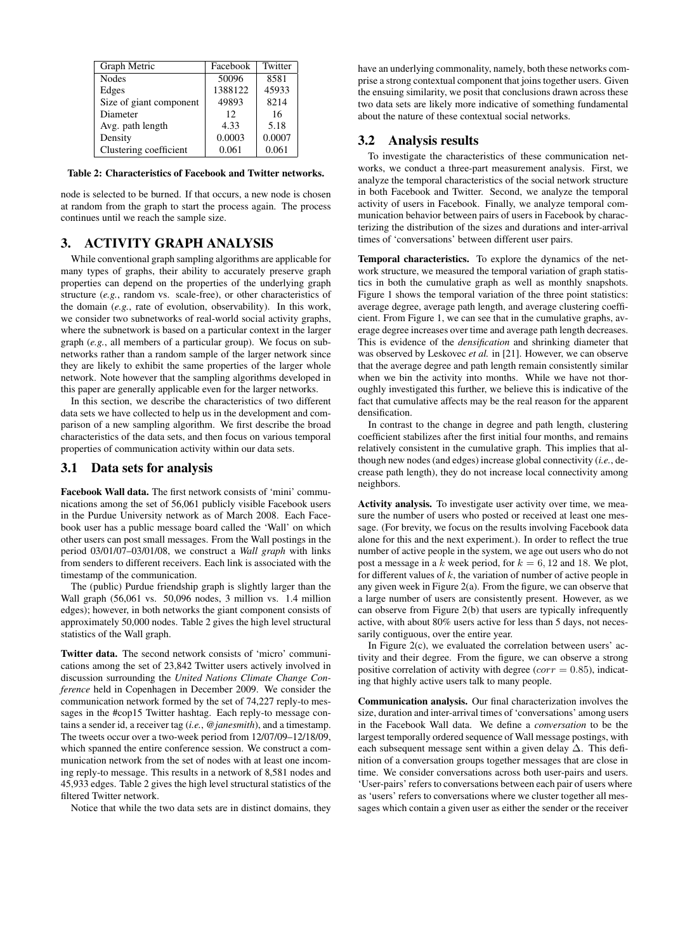| Graph Metric            | Facebook | Twitter |
|-------------------------|----------|---------|
| <b>Nodes</b>            | 50096    | 8581    |
| Edges                   | 1388122  | 45933   |
| Size of giant component | 49893    | 8214    |
| Diameter                | 12       | 16      |
| Avg. path length        | 4.33     | 5.18    |
| Density                 | 0.0003   | 0.0007  |
| Clustering coefficient  | 0.061    | 0.061   |

Table 2: Characteristics of Facebook and Twitter networks.

node is selected to be burned. If that occurs, a new node is chosen at random from the graph to start the process again. The process continues until we reach the sample size.

## 3. ACTIVITY GRAPH ANALYSIS

While conventional graph sampling algorithms are applicable for many types of graphs, their ability to accurately preserve graph properties can depend on the properties of the underlying graph structure (*e.g.*, random vs. scale-free), or other characteristics of the domain (*e.g.*, rate of evolution, observability). In this work, we consider two subnetworks of real-world social activity graphs, where the subnetwork is based on a particular context in the larger graph (*e.g.*, all members of a particular group). We focus on subnetworks rather than a random sample of the larger network since they are likely to exhibit the same properties of the larger whole network. Note however that the sampling algorithms developed in this paper are generally applicable even for the larger networks.

In this section, we describe the characteristics of two different data sets we have collected to help us in the development and comparison of a new sampling algorithm. We first describe the broad characteristics of the data sets, and then focus on various temporal properties of communication activity within our data sets.

## 3.1 Data sets for analysis

Facebook Wall data. The first network consists of 'mini' communications among the set of 56,061 publicly visible Facebook users in the Purdue University network as of March 2008. Each Facebook user has a public message board called the 'Wall' on which other users can post small messages. From the Wall postings in the period 03/01/07–03/01/08, we construct a *Wall graph* with links from senders to different receivers. Each link is associated with the timestamp of the communication.

The (public) Purdue friendship graph is slightly larger than the Wall graph (56,061 vs. 50,096 nodes, 3 million vs. 1.4 million edges); however, in both networks the giant component consists of approximately 50,000 nodes. Table 2 gives the high level structural statistics of the Wall graph.

Twitter data. The second network consists of 'micro' communications among the set of 23,842 Twitter users actively involved in discussion surrounding the *United Nations Climate Change Conference* held in Copenhagen in December 2009. We consider the communication network formed by the set of 74,227 reply-to messages in the #cop15 Twitter hashtag. Each reply-to message contains a sender id, a receiver tag (*i.e.*, *@janesmith*), and a timestamp. The tweets occur over a two-week period from 12/07/09–12/18/09, which spanned the entire conference session. We construct a communication network from the set of nodes with at least one incoming reply-to message. This results in a network of 8,581 nodes and 45,933 edges. Table 2 gives the high level structural statistics of the filtered Twitter network.

Notice that while the two data sets are in distinct domains, they

have an underlying commonality, namely, both these networks comprise a strong contextual component that joins together users. Given the ensuing similarity, we posit that conclusions drawn across these two data sets are likely more indicative of something fundamental about the nature of these contextual social networks.

## 3.2 Analysis results

To investigate the characteristics of these communication networks, we conduct a three-part measurement analysis. First, we analyze the temporal characteristics of the social network structure in both Facebook and Twitter. Second, we analyze the temporal activity of users in Facebook. Finally, we analyze temporal communication behavior between pairs of users in Facebook by characterizing the distribution of the sizes and durations and inter-arrival times of 'conversations' between different user pairs.

Temporal characteristics. To explore the dynamics of the network structure, we measured the temporal variation of graph statistics in both the cumulative graph as well as monthly snapshots. Figure 1 shows the temporal variation of the three point statistics: average degree, average path length, and average clustering coefficient. From Figure 1, we can see that in the cumulative graphs, average degree increases over time and average path length decreases. This is evidence of the *densification* and shrinking diameter that was observed by Leskovec *et al.* in [21]. However, we can observe that the average degree and path length remain consistently similar when we bin the activity into months. While we have not thoroughly investigated this further, we believe this is indicative of the fact that cumulative affects may be the real reason for the apparent densification.

In contrast to the change in degree and path length, clustering coefficient stabilizes after the first initial four months, and remains relatively consistent in the cumulative graph. This implies that although new nodes (and edges) increase global connectivity (*i.e.*, decrease path length), they do not increase local connectivity among neighbors.

Activity analysis. To investigate user activity over time, we measure the number of users who posted or received at least one message. (For brevity, we focus on the results involving Facebook data alone for this and the next experiment.). In order to reflect the true number of active people in the system, we age out users who do not post a message in a k week period, for  $k = 6, 12$  and 18. We plot, for different values of  $k$ , the variation of number of active people in any given week in Figure 2(a). From the figure, we can observe that a large number of users are consistently present. However, as we can observe from Figure 2(b) that users are typically infrequently active, with about 80% users active for less than 5 days, not necessarily contiguous, over the entire year.

In Figure 2(c), we evaluated the correlation between users' activity and their degree. From the figure, we can observe a strong positive correlation of activity with degree ( $corr = 0.85$ ), indicating that highly active users talk to many people.

Communication analysis. Our final characterization involves the size, duration and inter-arrival times of 'conversations' among users in the Facebook Wall data. We define a *conversation* to be the largest temporally ordered sequence of Wall message postings, with each subsequent message sent within a given delay ∆. This definition of a conversation groups together messages that are close in time. We consider conversations across both user-pairs and users. 'User-pairs' refers to conversations between each pair of users where as 'users' refers to conversations where we cluster together all messages which contain a given user as either the sender or the receiver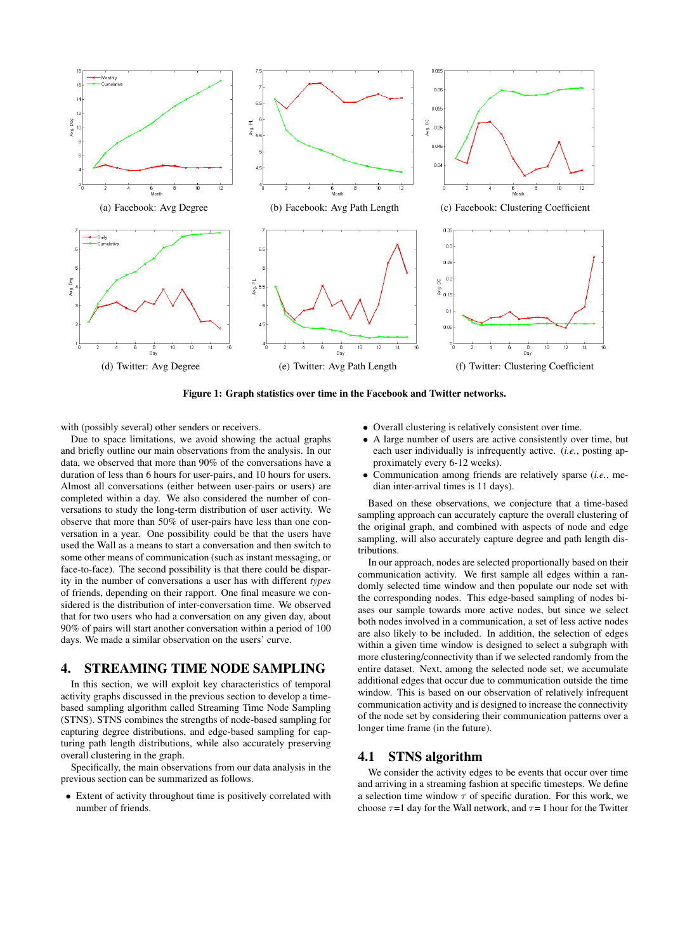

Figure 1: Graph statistics over time in the Facebook and Twitter networks.

with (possibly several) other senders or receivers.

Due to space limitations, we avoid showing the actual graphs and briefly outline our main observations from the analysis. In our data, we observed that more than 90% of the conversations have a duration of less than 6 hours for user-pairs, and 10 hours for users. Almost all conversations (either between user-pairs or users) are completed within a day. We also considered the number of conversations to study the long-term distribution of user activity. We observe that more than 50% of user-pairs have less than one conversation in a year. One possibility could be that the users have used the Wall as a means to start a conversation and then switch to some other means of communication (such as instant messaging, or face-to-face). The second possibility is that there could be disparity in the number of conversations a user has with different *types* of friends, depending on their rapport. One final measure we considered is the distribution of inter-conversation time. We observed that for two users who had a conversation on any given day, about 90% of pairs will start another conversation within a period of 100 days. We made a similar observation on the users' curve.

## 4. STREAMING TIME NODE SAMPLING

In this section, we will exploit key characteristics of temporal activity graphs discussed in the previous section to develop a timebased sampling algorithm called Streaming Time Node Sampling (STNS). STNS combines the strengths of node-based sampling for capturing degree distributions, and edge-based sampling for capturing path length distributions, while also accurately preserving overall clustering in the graph.

Specifically, the main observations from our data analysis in the previous section can be summarized as follows.

• Extent of activity throughout time is positively correlated with number of friends.

- Overall clustering is relatively consistent over time.
- A large number of users are active consistently over time, but each user individually is infrequently active. (*i.e.*, posting approximately every 6-12 weeks).
- Communication among friends are relatively sparse (*i.e.*, median inter-arrival times is 11 days).

Based on these observations, we conjecture that a time-based sampling approach can accurately capture the overall clustering of the original graph, and combined with aspects of node and edge sampling, will also accurately capture degree and path length distributions.

In our approach, nodes are selected proportionally based on their communication activity. We first sample all edges within a randomly selected time window and then populate our node set with the corresponding nodes. This edge-based sampling of nodes biases our sample towards more active nodes, but since we select both nodes involved in a communication, a set of less active nodes are also likely to be included. In addition, the selection of edges within a given time window is designed to select a subgraph with more clustering/connectivity than if we selected randomly from the entire dataset. Next, among the selected node set, we accumulate additional edges that occur due to communication outside the time window. This is based on our observation of relatively infrequent communication activity and is designed to increase the connectivity of the node set by considering their communication patterns over a longer time frame (in the future).

#### 4.1 STNS algorithm

We consider the activity edges to be events that occur over time and arriving in a streaming fashion at specific timesteps. We define a selection time window  $\tau$  of specific duration. For this work, we choose  $\tau$ =1 day for the Wall network, and  $\tau$ = 1 hour for the Twitter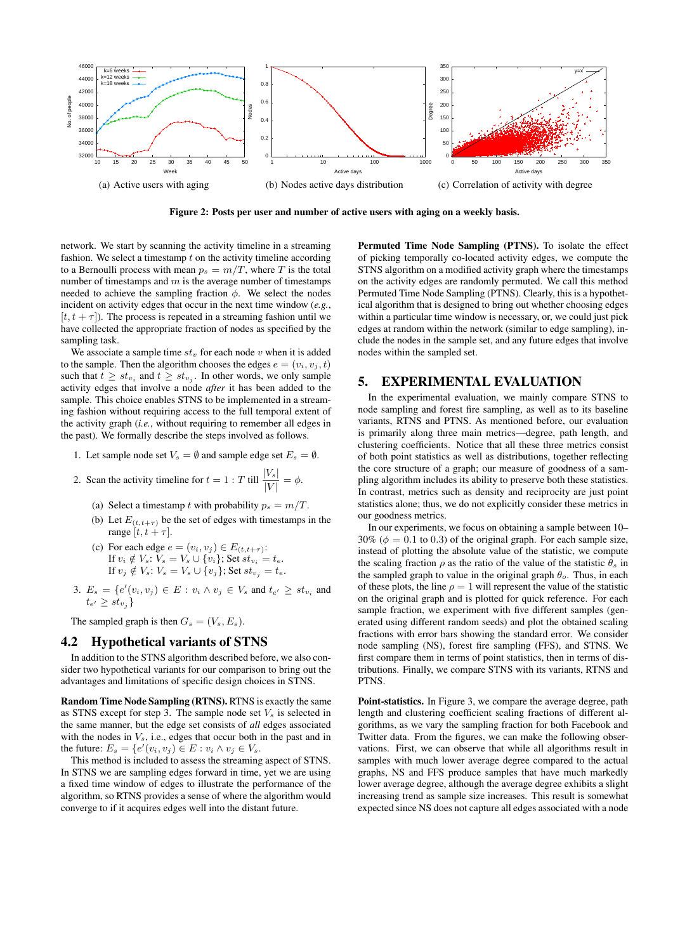

Figure 2: Posts per user and number of active users with aging on a weekly basis.

network. We start by scanning the activity timeline in a streaming fashion. We select a timestamp  $t$  on the activity timeline according to a Bernoulli process with mean  $p_s = m/T$ , where T is the total number of timestamps and  $m$  is the average number of timestamps needed to achieve the sampling fraction  $\phi$ . We select the nodes incident on activity edges that occur in the next time window (*e.g.*,  $[t, t + \tau]$ ). The process is repeated in a streaming fashion until we have collected the appropriate fraction of nodes as specified by the sampling task.

We associate a sample time  $st_v$  for each node v when it is added to the sample. Then the algorithm chooses the edges  $e = (v_i, v_j, t)$ such that  $t \geq st_{v_i}$  and  $t \geq st_{v_j}$ . In other words, we only sample activity edges that involve a node *after* it has been added to the sample. This choice enables STNS to be implemented in a streaming fashion without requiring access to the full temporal extent of the activity graph (*i.e.*, without requiring to remember all edges in the past). We formally describe the steps involved as follows.

- 1. Let sample node set  $V_s = \emptyset$  and sample edge set  $E_s = \emptyset$ .
- 2. Scan the activity timeline for  $t = 1 : T$  till  $\frac{|V_s|}{|V|} = \phi$ .
	- (a) Select a timestamp t with probability  $p_s = m/T$ .
	- (b) Let  $E_{(t,t+\tau)}$  be the set of edges with timestamps in the range  $[t, t + \tau]$ .
	- (c) For each edge  $e = (v_i, v_j) \in E_{(t, t + \tau)}$ : If  $v_i \notin V_s$ :  $V_s = V_s \cup \{v_i\}$ ; Set  $st_{v_i} = t_e$ . If  $v_j \notin V_s$ :  $V_s = V_s \cup \{v_j\}$ ; Set  $st_{v_j} = t_e$ .
- 3.  $E_s = \{e'(v_i, v_j) \in E : v_i \wedge v_j \in V_s \text{ and } t_{e'} \geq st_{v_i} \text{ and }$  $t_{e'} \geq st_{v_i}$

The sampled graph is then  $G_s = (V_s, E_s)$ .

#### 4.2 Hypothetical variants of STNS

In addition to the STNS algorithm described before, we also consider two hypothetical variants for our comparison to bring out the advantages and limitations of specific design choices in STNS.

Random Time Node Sampling (RTNS). RTNS is exactly the same as STNS except for step 3. The sample node set  $V<sub>s</sub>$  is selected in the same manner, but the edge set consists of *all* edges associated with the nodes in  $V_s$ , i.e., edges that occur both in the past and in the future:  $E_s = \{e'(v_i, v_j) \in E : v_i \wedge v_j \in V_s. \}$ 

This method is included to assess the streaming aspect of STNS. In STNS we are sampling edges forward in time, yet we are using a fixed time window of edges to illustrate the performance of the algorithm, so RTNS provides a sense of where the algorithm would converge to if it acquires edges well into the distant future.

Permuted Time Node Sampling (PTNS). To isolate the effect of picking temporally co-located activity edges, we compute the STNS algorithm on a modified activity graph where the timestamps on the activity edges are randomly permuted. We call this method Permuted Time Node Sampling (PTNS). Clearly, this is a hypothetical algorithm that is designed to bring out whether choosing edges within a particular time window is necessary, or, we could just pick edges at random within the network (similar to edge sampling), include the nodes in the sample set, and any future edges that involve nodes within the sampled set.

#### 5. EXPERIMENTAL EVALUATION

In the experimental evaluation, we mainly compare STNS to node sampling and forest fire sampling, as well as to its baseline variants, RTNS and PTNS. As mentioned before, our evaluation is primarily along three main metrics—degree, path length, and clustering coefficients. Notice that all these three metrics consist of both point statistics as well as distributions, together reflecting the core structure of a graph; our measure of goodness of a sampling algorithm includes its ability to preserve both these statistics. In contrast, metrics such as density and reciprocity are just point statistics alone; thus, we do not explicitly consider these metrics in our goodness metrics.

In our experiments, we focus on obtaining a sample between 10– 30% ( $\phi = 0.1$  to 0.3) of the original graph. For each sample size, instead of plotting the absolute value of the statistic, we compute the scaling fraction  $\rho$  as the ratio of the value of the statistic  $\theta_s$  in the sampled graph to value in the original graph  $\theta_o$ . Thus, in each of these plots, the line  $\rho = 1$  will represent the value of the statistic on the original graph and is plotted for quick reference. For each sample fraction, we experiment with five different samples (generated using different random seeds) and plot the obtained scaling fractions with error bars showing the standard error. We consider node sampling (NS), forest fire sampling (FFS), and STNS. We first compare them in terms of point statistics, then in terms of distributions. Finally, we compare STNS with its variants, RTNS and PTNS.

Point-statistics. In Figure 3, we compare the average degree, path length and clustering coefficient scaling fractions of different algorithms, as we vary the sampling fraction for both Facebook and Twitter data. From the figures, we can make the following observations. First, we can observe that while all algorithms result in samples with much lower average degree compared to the actual graphs, NS and FFS produce samples that have much markedly lower average degree, although the average degree exhibits a slight increasing trend as sample size increases. This result is somewhat expected since NS does not capture all edges associated with a node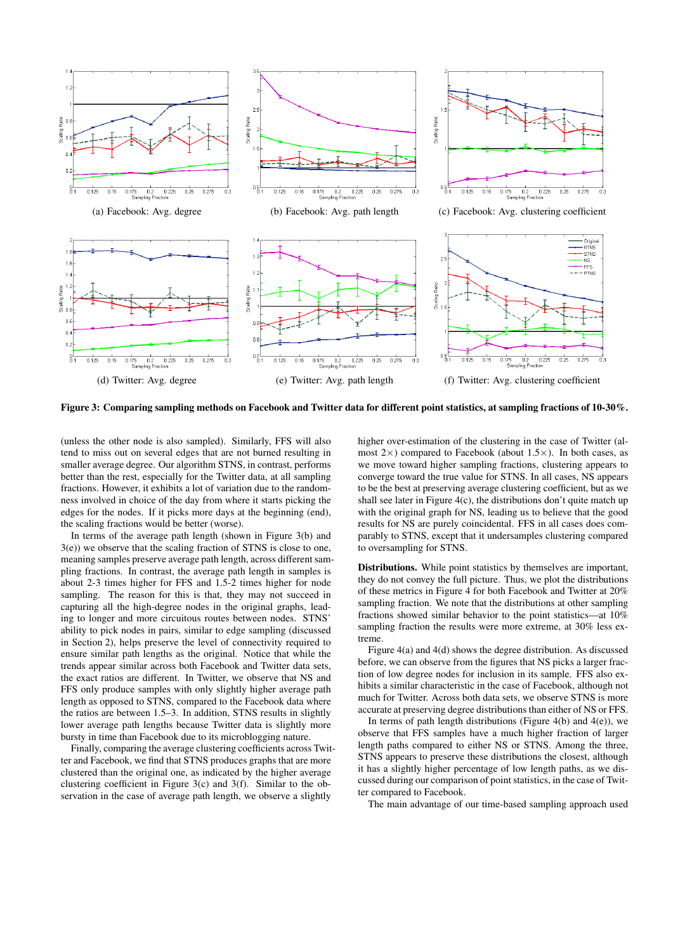

Figure 3: Comparing sampling methods on Facebook and Twitter data for different point statistics, at sampling fractions of 10-30%.

(unless the other node is also sampled). Similarly, FFS will also tend to miss out on several edges that are not burned resulting in smaller average degree. Our algorithm STNS, in contrast, performs better than the rest, especially for the Twitter data, at all sampling fractions. However, it exhibits a lot of variation due to the randomness involved in choice of the day from where it starts picking the edges for the nodes. If it picks more days at the beginning (end), the scaling fractions would be better (worse).

In terms of the average path length (shown in Figure 3(b) and 3(e)) we observe that the scaling fraction of STNS is close to one, meaning samples preserve average path length, across different sampling fractions. In contrast, the average path length in samples is about 2-3 times higher for FFS and 1.5-2 times higher for node sampling. The reason for this is that, they may not succeed in capturing all the high-degree nodes in the original graphs, leading to longer and more circuitous routes between nodes. STNS' ability to pick nodes in pairs, similar to edge sampling (discussed in Section 2), helps preserve the level of connectivity required to ensure similar path lengths as the original. Notice that while the trends appear similar across both Facebook and Twitter data sets, the exact ratios are different. In Twitter, we observe that NS and FFS only produce samples with only slightly higher average path length as opposed to STNS, compared to the Facebook data where the ratios are between 1.5–3. In addition, STNS results in slightly lower average path lengths because Twitter data is slightly more bursty in time than Facebook due to its microblogging nature.

Finally, comparing the average clustering coefficients across Twitter and Facebook, we find that STNS produces graphs that are more clustered than the original one, as indicated by the higher average clustering coefficient in Figure 3(c) and 3(f). Similar to the observation in the case of average path length, we observe a slightly

higher over-estimation of the clustering in the case of Twitter (almost  $2 \times$ ) compared to Facebook (about  $1.5 \times$ ). In both cases, as we move toward higher sampling fractions, clustering appears to converge toward the true value for STNS. In all cases, NS appears to be the best at preserving average clustering coefficient, but as we shall see later in Figure 4(c), the distributions don't quite match up with the original graph for NS, leading us to believe that the good results for NS are purely coincidental. FFS in all cases does comparably to STNS, except that it undersamples clustering compared to oversampling for STNS.

Distributions. While point statistics by themselves are important, they do not convey the full picture. Thus, we plot the distributions of these metrics in Figure 4 for both Facebook and Twitter at 20% sampling fraction. We note that the distributions at other sampling fractions showed similar behavior to the point statistics—at 10% sampling fraction the results were more extreme, at 30% less extreme.

Figure 4(a) and 4(d) shows the degree distribution. As discussed before, we can observe from the figures that NS picks a larger fraction of low degree nodes for inclusion in its sample. FFS also exhibits a similar characteristic in the case of Facebook, although not much for Twitter. Across both data sets, we observe STNS is more accurate at preserving degree distributions than either of NS or FFS.

In terms of path length distributions (Figure 4(b) and 4(e)), we observe that FFS samples have a much higher fraction of larger length paths compared to either NS or STNS. Among the three, STNS appears to preserve these distributions the closest, although it has a slightly higher percentage of low length paths, as we discussed during our comparison of point statistics, in the case of Twitter compared to Facebook.

The main advantage of our time-based sampling approach used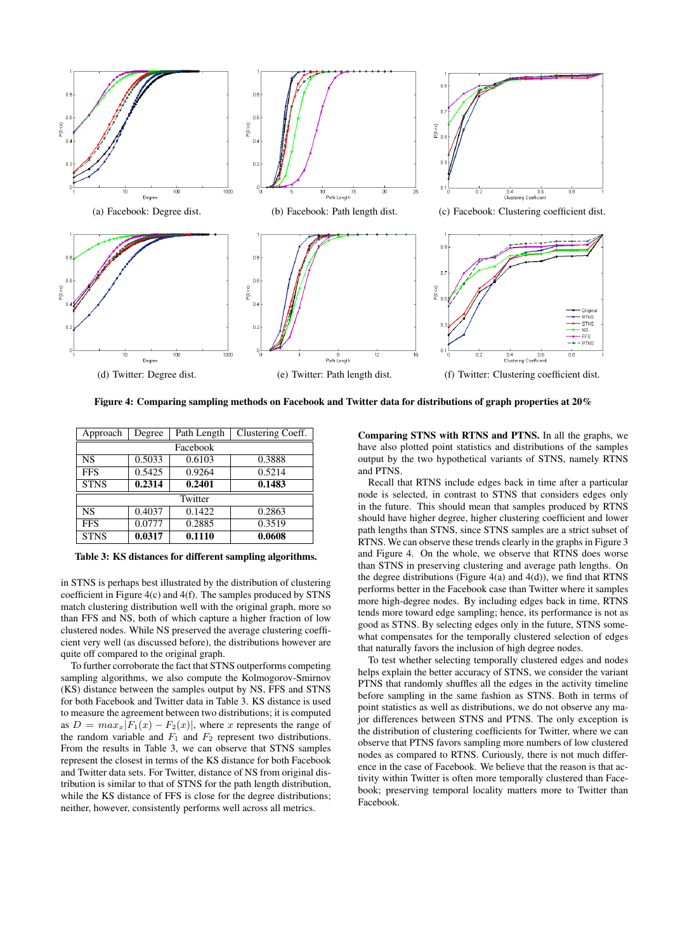

Figure 4: Comparing sampling methods on Facebook and Twitter data for distributions of graph properties at 20%

| Approach    | Degree | Path Length | Clustering Coeff. |  |  |
|-------------|--------|-------------|-------------------|--|--|
| Facebook    |        |             |                   |  |  |
| NS          | 0.5033 | 0.6103      | 0.3888            |  |  |
| <b>FFS</b>  | 0.5425 | 0.9264      | 0.5214            |  |  |
| <b>STNS</b> | 0.2314 | 0.2401      | 0.1483            |  |  |
| Twitter     |        |             |                   |  |  |
| NS          | 0.4037 | 0.1422      | 0.2863            |  |  |
| <b>FFS</b>  | 0.0777 | 0.2885      | 0.3519            |  |  |
| <b>STNS</b> | 0.0317 | 0.1110      | 0.0608            |  |  |

Table 3: KS distances for different sampling algorithms.

in STNS is perhaps best illustrated by the distribution of clustering coefficient in Figure 4(c) and 4(f). The samples produced by STNS match clustering distribution well with the original graph, more so than FFS and NS, both of which capture a higher fraction of low clustered nodes. While NS preserved the average clustering coefficient very well (as discussed before), the distributions however are quite off compared to the original graph.

To further corroborate the fact that STNS outperforms competing sampling algorithms, we also compute the Kolmogorov-Smirnov (KS) distance between the samples output by NS, FFS and STNS for both Facebook and Twitter data in Table 3. KS distance is used to measure the agreement between two distributions; it is computed as  $D = max_x |F_1(x) - F_2(x)|$ , where x represents the range of the random variable and  $F_1$  and  $F_2$  represent two distributions. From the results in Table 3, we can observe that STNS samples represent the closest in terms of the KS distance for both Facebook and Twitter data sets. For Twitter, distance of NS from original distribution is similar to that of STNS for the path length distribution, while the KS distance of FFS is close for the degree distributions; neither, however, consistently performs well across all metrics.

Comparing STNS with RTNS and PTNS. In all the graphs, we have also plotted point statistics and distributions of the samples output by the two hypothetical variants of STNS, namely RTNS and PTNS.

Recall that RTNS include edges back in time after a particular node is selected, in contrast to STNS that considers edges only in the future. This should mean that samples produced by RTNS should have higher degree, higher clustering coefficient and lower path lengths than STNS, since STNS samples are a strict subset of RTNS. We can observe these trends clearly in the graphs in Figure 3 and Figure 4. On the whole, we observe that RTNS does worse than STNS in preserving clustering and average path lengths. On the degree distributions (Figure  $4(a)$  and  $4(d)$ ), we find that RTNS performs better in the Facebook case than Twitter where it samples more high-degree nodes. By including edges back in time, RTNS tends more toward edge sampling; hence, its performance is not as good as STNS. By selecting edges only in the future, STNS somewhat compensates for the temporally clustered selection of edges that naturally favors the inclusion of high degree nodes.

To test whether selecting temporally clustered edges and nodes helps explain the better accuracy of STNS, we consider the variant PTNS that randomly shuffles all the edges in the activity timeline before sampling in the same fashion as STNS. Both in terms of point statistics as well as distributions, we do not observe any major differences between STNS and PTNS. The only exception is the distribution of clustering coefficients for Twitter, where we can observe that PTNS favors sampling more numbers of low clustered nodes as compared to RTNS. Curiously, there is not much difference in the case of Facebook. We believe that the reason is that activity within Twitter is often more temporally clustered than Facebook; preserving temporal locality matters more to Twitter than Facebook.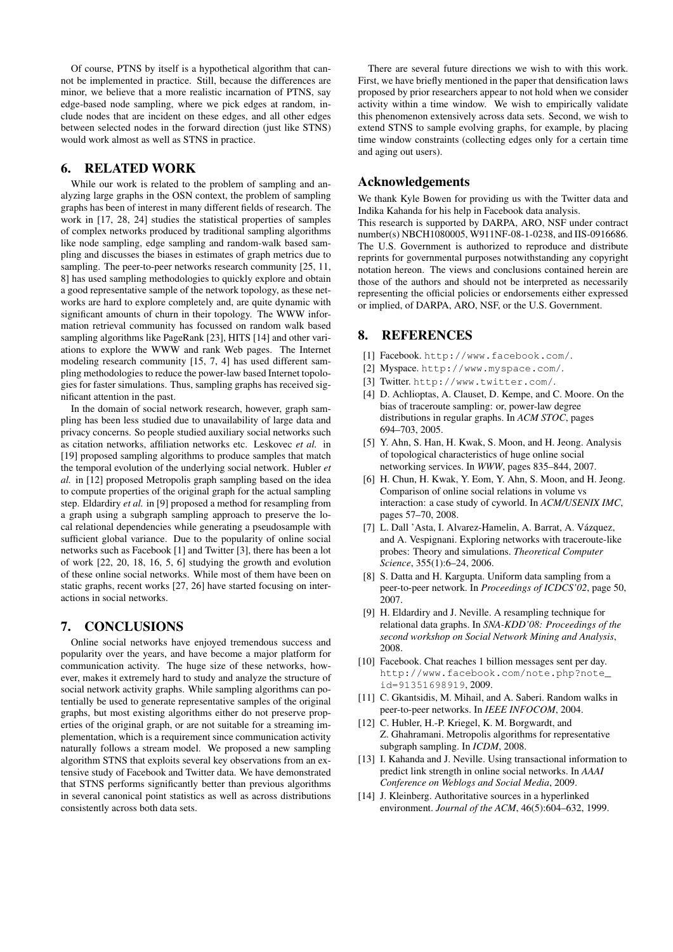Of course, PTNS by itself is a hypothetical algorithm that cannot be implemented in practice. Still, because the differences are minor, we believe that a more realistic incarnation of PTNS, say edge-based node sampling, where we pick edges at random, include nodes that are incident on these edges, and all other edges between selected nodes in the forward direction (just like STNS) would work almost as well as STNS in practice.

# 6. RELATED WORK

While our work is related to the problem of sampling and analyzing large graphs in the OSN context, the problem of sampling graphs has been of interest in many different fields of research. The work in [17, 28, 24] studies the statistical properties of samples of complex networks produced by traditional sampling algorithms like node sampling, edge sampling and random-walk based sampling and discusses the biases in estimates of graph metrics due to sampling. The peer-to-peer networks research community [25, 11, 8] has used sampling methodologies to quickly explore and obtain a good representative sample of the network topology, as these networks are hard to explore completely and, are quite dynamic with significant amounts of churn in their topology. The WWW information retrieval community has focussed on random walk based sampling algorithms like PageRank [23], HITS [14] and other variations to explore the WWW and rank Web pages. The Internet modeling research community [15, 7, 4] has used different sampling methodologies to reduce the power-law based Internet topologies for faster simulations. Thus, sampling graphs has received significant attention in the past.

In the domain of social network research, however, graph sampling has been less studied due to unavailability of large data and privacy concerns. So people studied auxiliary social networks such as citation networks, affiliation networks etc. Leskovec *et al.* in [19] proposed sampling algorithms to produce samples that match the temporal evolution of the underlying social network. Hubler *et al.* in [12] proposed Metropolis graph sampling based on the idea to compute properties of the original graph for the actual sampling step. Eldardiry *et al.* in [9] proposed a method for resampling from a graph using a subgraph sampling approach to preserve the local relational dependencies while generating a pseudosample with sufficient global variance. Due to the popularity of online social networks such as Facebook [1] and Twitter [3], there has been a lot of work [22, 20, 18, 16, 5, 6] studying the growth and evolution of these online social networks. While most of them have been on static graphs, recent works [27, 26] have started focusing on interactions in social networks.

# 7. CONCLUSIONS

Online social networks have enjoyed tremendous success and popularity over the years, and have become a major platform for communication activity. The huge size of these networks, however, makes it extremely hard to study and analyze the structure of social network activity graphs. While sampling algorithms can potentially be used to generate representative samples of the original graphs, but most existing algorithms either do not preserve properties of the original graph, or are not suitable for a streaming implementation, which is a requirement since communication activity naturally follows a stream model. We proposed a new sampling algorithm STNS that exploits several key observations from an extensive study of Facebook and Twitter data. We have demonstrated that STNS performs significantly better than previous algorithms in several canonical point statistics as well as across distributions consistently across both data sets.

There are several future directions we wish to with this work. First, we have briefly mentioned in the paper that densification laws proposed by prior researchers appear to not hold when we consider activity within a time window. We wish to empirically validate this phenomenon extensively across data sets. Second, we wish to extend STNS to sample evolving graphs, for example, by placing time window constraints (collecting edges only for a certain time and aging out users).

## Acknowledgements

We thank Kyle Bowen for providing us with the Twitter data and Indika Kahanda for his help in Facebook data analysis.

This research is supported by DARPA, ARO, NSF under contract number(s) NBCH1080005, W911NF-08-1-0238, and IIS-0916686. The U.S. Government is authorized to reproduce and distribute reprints for governmental purposes notwithstanding any copyright notation hereon. The views and conclusions contained herein are those of the authors and should not be interpreted as necessarily representing the official policies or endorsements either expressed or implied, of DARPA, ARO, NSF, or the U.S. Government.

## 8. REFERENCES

- [1] Facebook. http://www.facebook.com/.
- [2] Myspace. http://www.myspace.com/.
- [3] Twitter. http://www.twitter.com/.
- [4] D. Achlioptas, A. Clauset, D. Kempe, and C. Moore. On the bias of traceroute sampling: or, power-law degree distributions in regular graphs. In *ACM STOC*, pages 694–703, 2005.
- [5] Y. Ahn, S. Han, H. Kwak, S. Moon, and H. Jeong. Analysis of topological characteristics of huge online social networking services. In *WWW*, pages 835–844, 2007.
- [6] H. Chun, H. Kwak, Y. Eom, Y. Ahn, S. Moon, and H. Jeong. Comparison of online social relations in volume vs interaction: a case study of cyworld. In *ACM/USENIX IMC*, pages 57–70, 2008.
- [7] L. Dall 'Asta, I. Alvarez-Hamelin, A. Barrat, A. Vázquez, and A. Vespignani. Exploring networks with traceroute-like probes: Theory and simulations. *Theoretical Computer Science*, 355(1):6–24, 2006.
- [8] S. Datta and H. Kargupta. Uniform data sampling from a peer-to-peer network. In *Proceedings of ICDCS'02*, page 50, 2007.
- [9] H. Eldardiry and J. Neville. A resampling technique for relational data graphs. In *SNA-KDD'08: Proceedings of the second workshop on Social Network Mining and Analysis*, 2008.
- [10] Facebook. Chat reaches 1 billion messages sent per day. http://www.facebook.com/note.php?note\_ id=91351698919, 2009.
- [11] C. Gkantsidis, M. Mihail, and A. Saberi. Random walks in peer-to-peer networks. In *IEEE INFOCOM*, 2004.
- [12] C. Hubler, H.-P. Kriegel, K. M. Borgwardt, and Z. Ghahramani. Metropolis algorithms for representative subgraph sampling. In *ICDM*, 2008.
- [13] I. Kahanda and J. Neville. Using transactional information to predict link strength in online social networks. In *AAAI Conference on Weblogs and Social Media*, 2009.
- [14] J. Kleinberg. Authoritative sources in a hyperlinked environment. *Journal of the ACM*, 46(5):604–632, 1999.